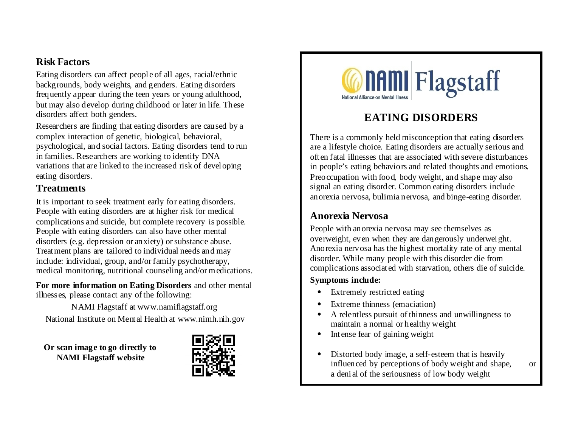# **Risk Factors**

Eating disorders can affect people of all ages, racial/ethnic backgrounds, body weights, and genders. Eating disorders frequently appear during the teen years or young adulthood, but may also develop during childhood or later in life. These disorders affect both genders.

Researchers are finding that eating disorders are caused by a complex interaction of genetic, biological, behavioral, psychological, and social factors. Eating disorders tend to run in families. Researchers are working to identify DNA variations that are linked to the increased risk of developing eating disorders.

### **Treatments**

It is important to seek treatment early for eating disorders. People with eating disorders are at higher risk for medical complications and suicide, but complete recovery is possible. People with eating disorders can also have other mental disorders (e.g. depression or anxiety) or substance abuse. Treatment plans are tailored to individual needs and may include: individual, group, and/or family psychotherapy, medical monitoring, nutritional counseling and/or medications.

**For more information on Eating Disorders** and other mental illnesses, please contact any of the following:

NAMI Flagstaff at www.namiflagstaff.org National Institute on Mental Health at www.nimh.nih.gov

**Or scan image to go directly to NAMI Flagstaff website**





# **EATING DISORDERS**

There is a commonly held misconception that eating disorders are a lifestyle choice. Eating disorders are actually serious and often fatal illnesses that are associated with severe disturbances in people's eating behaviors and related thoughts and emotions. Preoccupation with food, body weight, and shape may also signal an eating disorder. Common eating disorders include anorexia nervosa, bulimia nervosa, and binge-eating disorder.

# **Anorexia Nervosa**

People with anorexia nervosa may see themselves as overweight, even when they are dangerously underweight. Anorexia nervosa has the highest mortality rate of any mental disorder. While many people with this disorder die from complications associated with starvation, others die of suicide.

### **Symptoms include:**

- Extremely restricted eating
- Extreme thinness (emaciation)
- A relentless pursuit of thinness and unwillingness to maintain a normal or healthy weight
- Intense fear of gaining weight
- Distorted body image, a self-esteem that is heavily influenced by perceptions of body weight and shape, or a denial of the seriousness of low body weight